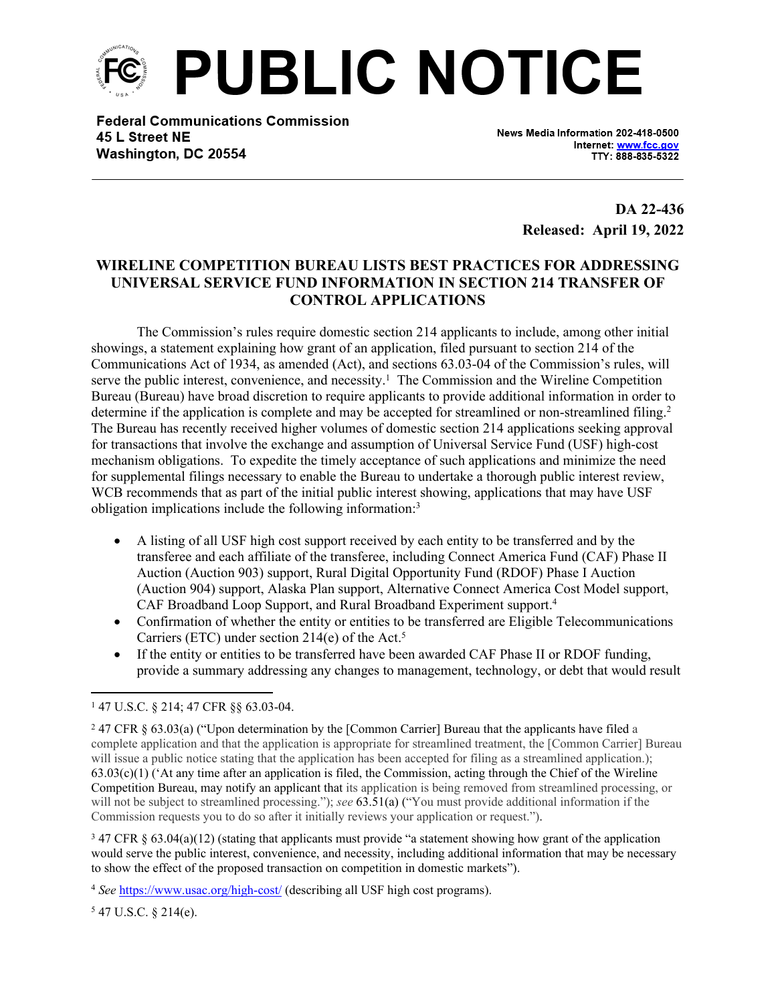

**Federal Communications Commission** 45 L Street NE Washington, DC 20554

News Media Information 202-418-0500 Internet: www.fcc.gov TTY: 888-835-5322

> **DA 22-436 Released: April 19, 2022**

## **WIRELINE COMPETITION BUREAU LISTS BEST PRACTICES FOR ADDRESSING UNIVERSAL SERVICE FUND INFORMATION IN SECTION 214 TRANSFER OF CONTROL APPLICATIONS**

The Commission's rules require domestic section 214 applicants to include, among other initial showings, a statement explaining how grant of an application, filed pursuant to section 214 of the Communications Act of 1934, as amended (Act), and sections 63.03-04 of the Commission's rules, will serve the public interest, convenience, and necessity.<sup>1</sup> The Commission and the Wireline Competition Bureau (Bureau) have broad discretion to require applicants to provide additional information in order to determine if the application is complete and may be accepted for streamlined or non-streamlined filing.<sup>2</sup> The Bureau has recently received higher volumes of domestic section 214 applications seeking approval for transactions that involve the exchange and assumption of Universal Service Fund (USF) high-cost mechanism obligations. To expedite the timely acceptance of such applications and minimize the need for supplemental filings necessary to enable the Bureau to undertake a thorough public interest review, WCB recommends that as part of the initial public interest showing, applications that may have USF obligation implications include the following information:<sup>3</sup>

- A listing of all USF high cost support received by each entity to be transferred and by the transferee and each affiliate of the transferee, including Connect America Fund (CAF) Phase II Auction (Auction 903) support, Rural Digital Opportunity Fund (RDOF) Phase I Auction (Auction 904) support, Alaska Plan support, Alternative Connect America Cost Model support, CAF Broadband Loop Support, and Rural Broadband Experiment support.<sup>4</sup>
- Confirmation of whether the entity or entities to be transferred are Eligible Telecommunications Carriers (ETC) under section 214(e) of the Act.<sup>5</sup>
- If the entity or entities to be transferred have been awarded CAF Phase II or RDOF funding, provide a summary addressing any changes to management, technology, or debt that would result

3 47 CFR § 63.04(a)(12) (stating that applicants must provide "a statement showing how grant of the application would serve the public interest, convenience, and necessity, including additional information that may be necessary to show the effect of the proposed transaction on competition in domestic markets").

5 47 U.S.C. § 214(e).

<sup>1</sup> 47 U.S.C. § 214; 47 CFR §§ 63.03-04.

<sup>2</sup> 47 CFR § 63.03(a) ("Upon determination by the [Common Carrier] Bureau that the applicants have filed a complete application and that the application is appropriate for streamlined treatment, the [Common Carrier] Bureau will issue a public notice stating that the application has been accepted for filing as a streamlined application.);  $63.03(c)(1)$  ('At any time after an application is filed, the Commission, acting through the Chief of the Wireline Competition Bureau, may notify an applicant that its application is being removed from streamlined processing, or will not be subject to streamlined processing."); *see* 63.51(a) ("You must provide additional information if the Commission requests you to do so after it initially reviews your application or request.").

<sup>4</sup> *See* <https://www.usac.org/high-cost/> (describing all USF high cost programs).